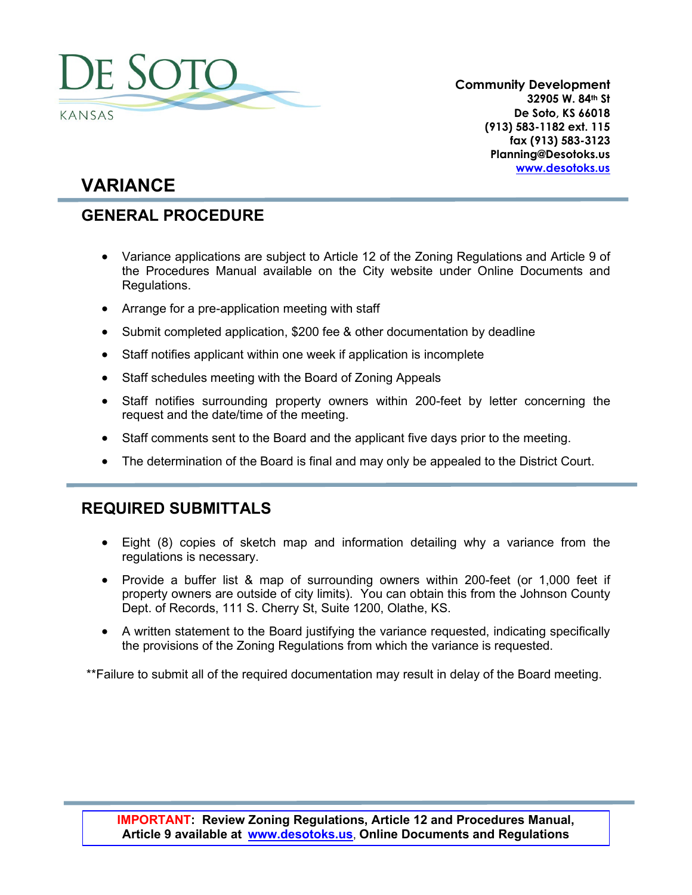

**Community Development 32905 W. 84th St De Soto, KS 66018 (913) 583-1182 ext. 115 fax (913) 583-3123 Planning@Desotoks.us [www.desotoks.us](http://www.desotoks.us/)**

# **VARIANCE**

## **GENERAL PROCEDURE**

- Variance applications are subject to Article 12 of the Zoning Regulations and Article 9 of the Procedures Manual available on the City website under Online Documents and Regulations.
- Arrange for a pre-application meeting with staff
- Submit completed application, \$200 fee & other documentation by deadline
- Staff notifies applicant within one week if application is incomplete
- Staff schedules meeting with the Board of Zoning Appeals
- Staff notifies surrounding property owners within 200-feet by letter concerning the request and the date/time of the meeting.
- Staff comments sent to the Board and the applicant five days prior to the meeting.
- The determination of the Board is final and may only be appealed to the District Court.

## **REQUIRED SUBMITTALS**

- Eight (8) copies of sketch map and information detailing why a variance from the regulations is necessary.
- Provide a buffer list & map of surrounding owners within 200-feet (or 1,000 feet if property owners are outside of city limits). You can obtain this from the Johnson County Dept. of Records, 111 S. Cherry St, Suite 1200, Olathe, KS.
- A written statement to the Board justifying the variance requested, indicating specifically the provisions of the Zoning Regulations from which the variance is requested.

\*\*Failure to submit all of the required documentation may result in delay of the Board meeting.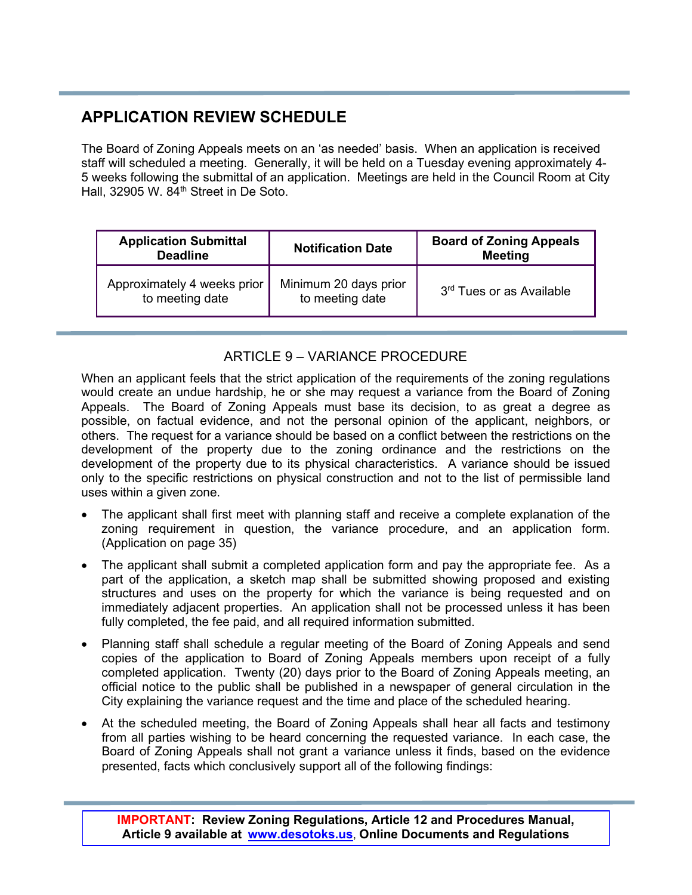## **APPLICATION REVIEW SCHEDULE**

The Board of Zoning Appeals meets on an 'as needed' basis. When an application is received staff will scheduled a meeting. Generally, it will be held on a Tuesday evening approximately 4- 5 weeks following the submittal of an application. Meetings are held in the Council Room at City Hall, 32905 W. 84<sup>th</sup> Street in De Soto.

| <b>Application Submittal</b><br><b>Notification Date</b><br><b>Deadline</b> |                                          | <b>Board of Zoning Appeals</b><br><b>Meeting</b> |
|-----------------------------------------------------------------------------|------------------------------------------|--------------------------------------------------|
| Approximately 4 weeks prior<br>to meeting date                              | Minimum 20 days prior<br>to meeting date | 3 <sup>rd</sup> Tues or as Available             |

## ARTICLE 9 – VARIANCE PROCEDURE

When an applicant feels that the strict application of the requirements of the zoning regulations would create an undue hardship, he or she may request a variance from the Board of Zoning Appeals. The Board of Zoning Appeals must base its decision, to as great a degree as possible, on factual evidence, and not the personal opinion of the applicant, neighbors, or others. The request for a variance should be based on a conflict between the restrictions on the development of the property due to the zoning ordinance and the restrictions on the development of the property due to its physical characteristics. A variance should be issued only to the specific restrictions on physical construction and not to the list of permissible land uses within a given zone.

- The applicant shall first meet with planning staff and receive a complete explanation of the zoning requirement in question, the variance procedure, and an application form. (Application on page 35)
- The applicant shall submit a completed application form and pay the appropriate fee. As a part of the application, a sketch map shall be submitted showing proposed and existing structures and uses on the property for which the variance is being requested and on immediately adjacent properties. An application shall not be processed unless it has been fully completed, the fee paid, and all required information submitted.
- Planning staff shall schedule a regular meeting of the Board of Zoning Appeals and send copies of the application to Board of Zoning Appeals members upon receipt of a fully completed application. Twenty (20) days prior to the Board of Zoning Appeals meeting, an official notice to the public shall be published in a newspaper of general circulation in the City explaining the variance request and the time and place of the scheduled hearing.
- At the scheduled meeting, the Board of Zoning Appeals shall hear all facts and testimony from all parties wishing to be heard concerning the requested variance. In each case, the Board of Zoning Appeals shall not grant a variance unless it finds, based on the evidence presented, facts which conclusively support all of the following findings: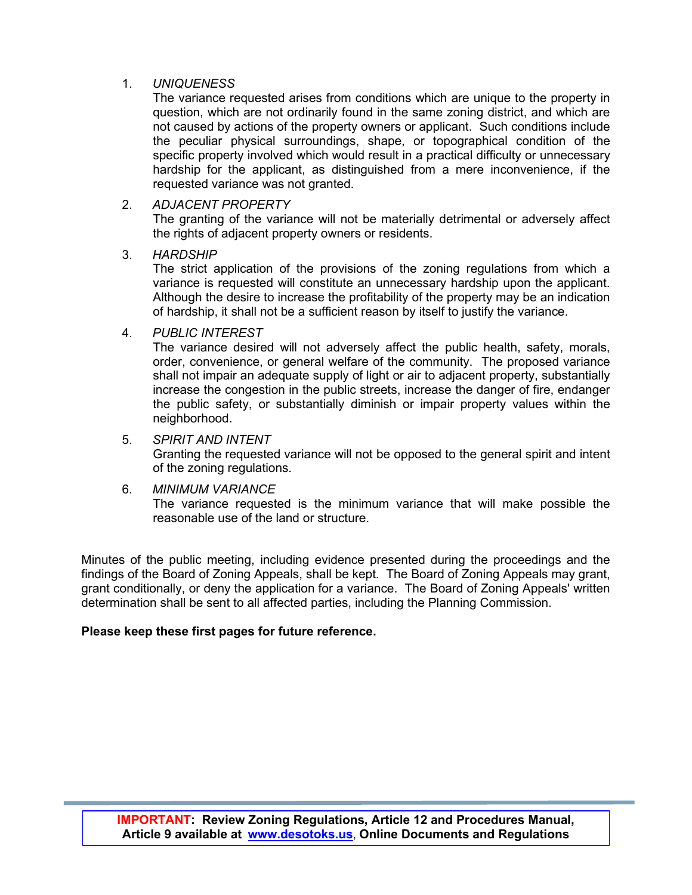### 1. *UNIQUENESS*

The variance requested arises from conditions which are unique to the property in question, which are not ordinarily found in the same zoning district, and which are not caused by actions of the property owners or applicant. Such conditions include the peculiar physical surroundings, shape, or topographical condition of the specific property involved which would result in a practical difficulty or unnecessary hardship for the applicant, as distinguished from a mere inconvenience, if the requested variance was not granted.

#### 2. *ADJACENT PROPERTY*

The granting of the variance will not be materially detrimental or adversely affect the rights of adjacent property owners or residents.

#### 3. *HARDSHIP*

The strict application of the provisions of the zoning regulations from which a variance is requested will constitute an unnecessary hardship upon the applicant. Although the desire to increase the profitability of the property may be an indication of hardship, it shall not be a sufficient reason by itself to justify the variance.

#### 4. *PUBLIC INTEREST*

The variance desired will not adversely affect the public health, safety, morals, order, convenience, or general welfare of the community. The proposed variance shall not impair an adequate supply of light or air to adjacent property, substantially increase the congestion in the public streets, increase the danger of fire, endanger the public safety, or substantially diminish or impair property values within the neighborhood.

#### 5. *SPIRIT AND INTENT*

Granting the requested variance will not be opposed to the general spirit and intent of the zoning regulations.

#### 6. *MINIMUM VARIANCE*

The variance requested is the minimum variance that will make possible the reasonable use of the land or structure.

Minutes of the public meeting, including evidence presented during the proceedings and the findings of the Board of Zoning Appeals, shall be kept. The Board of Zoning Appeals may grant, grant conditionally, or deny the application for a variance. The Board of Zoning Appeals' written determination shall be sent to all affected parties, including the Planning Commission.

#### **Please keep these first pages for future reference.**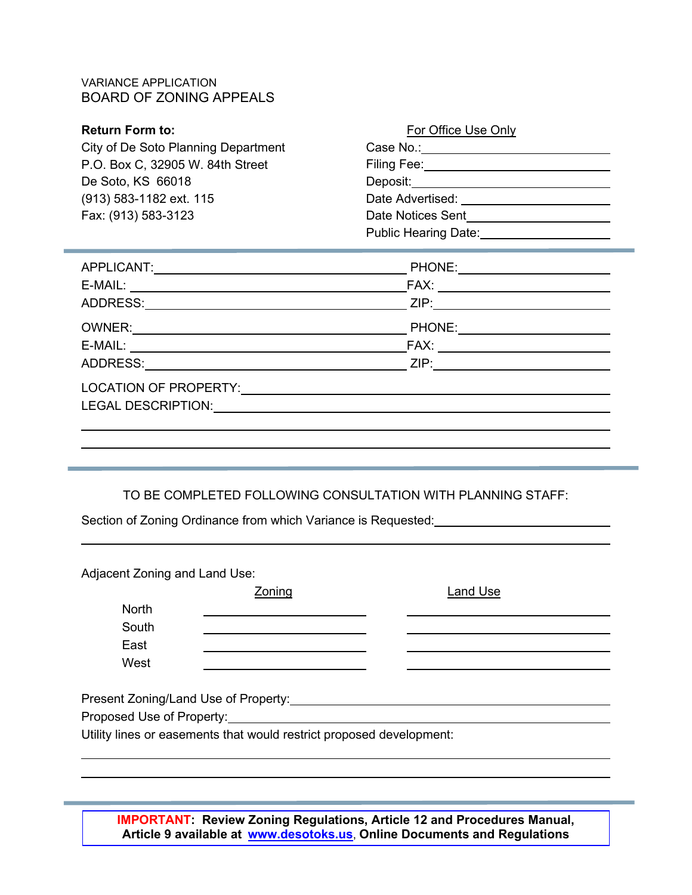### VARIANCE APPLICATION BOARD OF ZONING APPEALS

| <b>Return Form to:</b>              | For Office Use Only                  |
|-------------------------------------|--------------------------------------|
| City of De Soto Planning Department | Case No.:                            |
| P.O. Box C, 32905 W. 84th Street    | Filing Fee:                          |
| De Soto, KS 66018                   | Deposit:____________________________ |
| (913) 583-1182 ext. 115             | Date Advertised:                     |
| Fax: (913) 583-3123                 | Date Notices Sent                    |
|                                     | <b>Public Hearing Date:</b>          |

|                                                                                                                                 | FAX: ________ ______________________ |
|---------------------------------------------------------------------------------------------------------------------------------|--------------------------------------|
|                                                                                                                                 | ZIP: ________________________        |
| OWNER:<br><u> 1980 - Jan Sterling von Berling von Berling von Berling von Berling von Berling von Berling von Berling von B</u> | PHONE: ________________              |
| E-MAIL:<br><u> 1989 - Andrea State Barbara, política establecente de la propia de la propia de la propia de la propia de la</u> |                                      |
| ADDRESS:                                                                                                                        |                                      |
|                                                                                                                                 |                                      |
|                                                                                                                                 |                                      |

#### TO BE COMPLETED FOLLOWING CONSULTATION WITH PLANNING STAFF:

Section of Zoning Ordinance from which Variance is Requested:<br>
Section of Zoning Ordinance from which Variance is Requested:

| Adjacent Zoning and Land Use: |                                                                                                                                                                                                                                |          |
|-------------------------------|--------------------------------------------------------------------------------------------------------------------------------------------------------------------------------------------------------------------------------|----------|
|                               | Zoning                                                                                                                                                                                                                         | Land Use |
| <b>North</b>                  |                                                                                                                                                                                                                                |          |
| South                         |                                                                                                                                                                                                                                |          |
| East                          |                                                                                                                                                                                                                                |          |
| West                          |                                                                                                                                                                                                                                |          |
|                               | Proposed Use of Property: North Contract of Art and Contract of Art and Contract of Art and Contract of Art and Contract of Art and Contract of Art and Contract of Art and Contract of Art and Contract of Art and Contract o |          |
|                               | Utility lines or easements that would restrict proposed development:                                                                                                                                                           |          |
|                               |                                                                                                                                                                                                                                |          |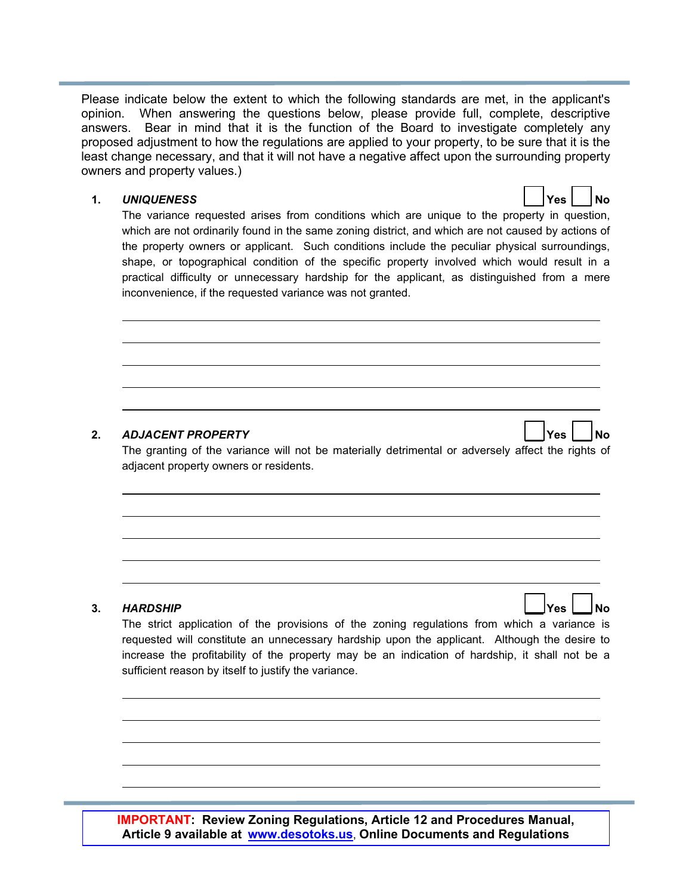Please indicate below the extent to which the following standards are met, in the applicant's opinion. When answering the questions below, please provide full, complete, descriptive answers. Bear in mind that it is the function of the Board to investigate completely any proposed adjustment to how the regulations are applied to your property, to be sure that it is the least change necessary, and that it will not have a negative affect upon the surrounding property owners and property values.)

**1.** *UNIQUENESS* **Yes No**



The variance requested arises from conditions which are unique to the property in question, which are not ordinarily found in the same zoning district, and which are not caused by actions of the property owners or applicant. Such conditions include the peculiar physical surroundings, shape, or topographical condition of the specific property involved which would result in a practical difficulty or unnecessary hardship for the applicant, as distinguished from a mere inconvenience, if the requested variance was not granted.

#### 2. *ADJACENT PROPERTY*  $\vert$  **Yes**  $\vert$  **Yes**  $\vert$  **No**

The granting of the variance will not be materially detrimental or adversely affect the rights of adjacent property owners or residents.

**3.** *HARDSHIP* **Yes No** The strict application of the provisions of the zoning regulations from which a variance is requested will constitute an unnecessary hardship upon the applicant. Although the desire to increase the profitability of the property may be an indication of hardship, it shall not be a sufficient reason by itself to justify the variance.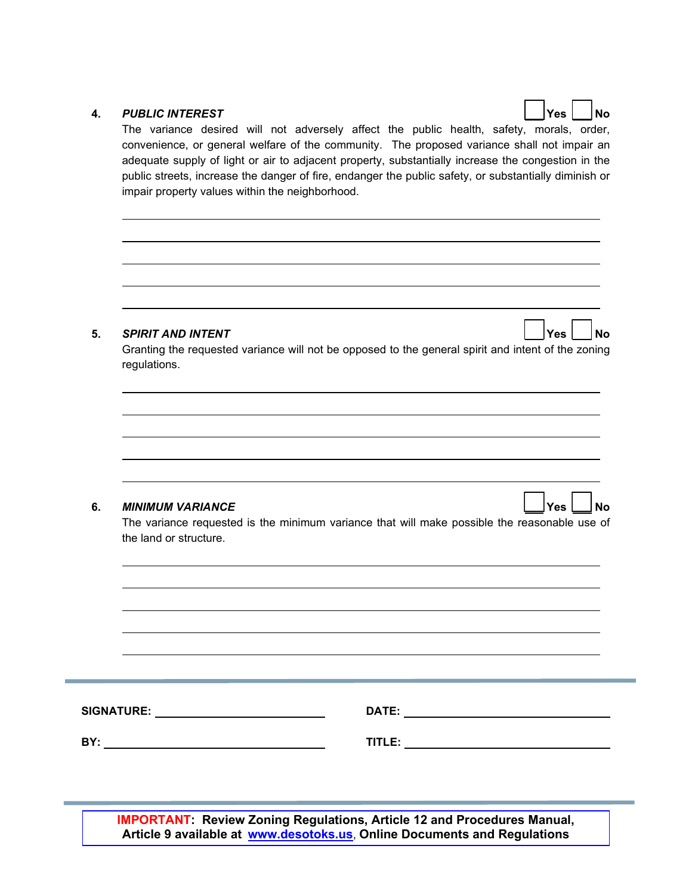#### **4.** *PUBLIC INTEREST*  $\begin{bmatrix} \n\sqrt{1 + \frac{1}{n}} & \n\end{bmatrix}$   $\begin{bmatrix} \n\sqrt{1 + \frac{1}{n}} & \n\sqrt{1 + \frac{1}{n}} & \n\end{bmatrix}$   $\begin{bmatrix} \n\sqrt{1 + \frac{1}{n}} & \n\sqrt{1 + \frac{1}{n}} & \n\sqrt{1 + \frac{1}{n}} & \n\sqrt{1 + \frac{1}{n}} & \n\sqrt{1 + \frac{1}{n}} & \n\sqrt{1 + \frac{1}{n}} & \n\sqrt{1 + \frac{1}{n}} & \n\sqrt{1 + \$

The variance desired will not adversely affect the public health, safety, morals, order, convenience, or general welfare of the community. The proposed variance shall not impair an adequate supply of light or air to adjacent property, substantially increase the congestion in the public streets, increase the danger of fire, endanger the public safety, or substantially diminish or impair property values within the neighborhood.

#### **5.** *SPIRIT AND INTENT*

Granting the requested variance will not be opposed to the general spirit and intent of the zoning regulations.

**6.** *MINIMUM VARIANCE*<br> **1** Yes No

The variance requested is the minimum variance that will make possible the reasonable use of the land or structure.

| <b>SIGNATURE:</b> | $\mathbf{A}$<br>IД |  |
|-------------------|--------------------|--|
|                   |                    |  |

**BY: TITLE:**